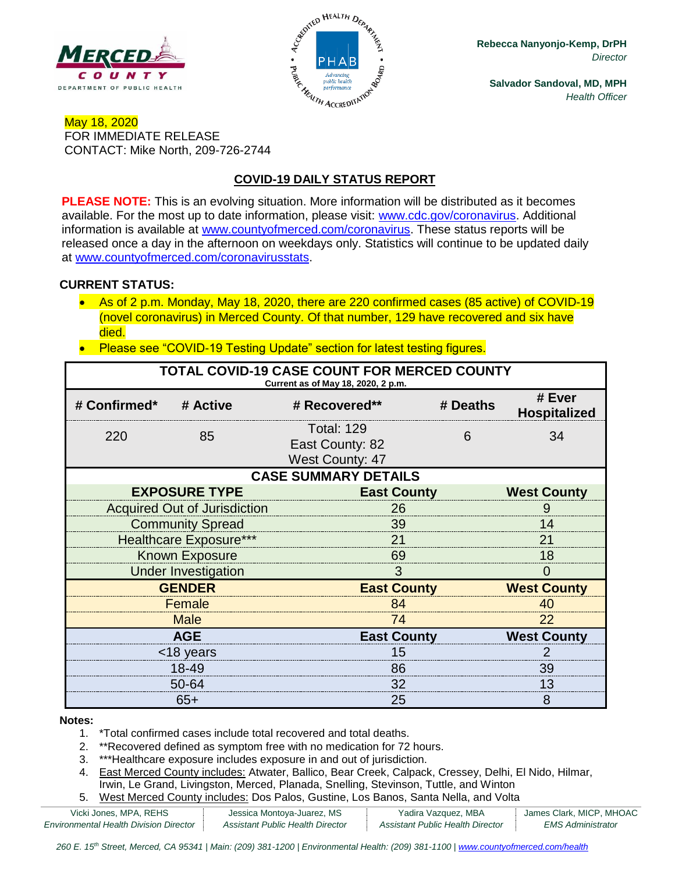



**Rebecca Nanyonjo-Kemp, DrPH** *Director*

**Salvador Sandoval, MD, MPH** *Health Officer*

### May 18, 2020 FOR IMMEDIATE RELEASE CONTACT: Mike North, 209-726-2744

# **COVID-19 DAILY STATUS REPORT**

**PLEASE NOTE:** This is an evolving situation. More information will be distributed as it becomes available. For the most up to date information, please visit: [www.cdc.gov/coronavirus.](http://www.cdc.gov/coronavirus) Additional information is available at [www.countyofmerced.com/coronavirus.](http://www.countyofmerced.com/coronavirus) These status reports will be released once a day in the afternoon on weekdays only. Statistics will continue to be updated daily at [www.countyofmerced.com/coronavirusstats.](http://www.countyofmerced.com/coronavirusstats)

#### **CURRENT STATUS:**

- As of 2 p.m. Monday, May 18, 2020, there are 220 confirmed cases (85 active) of COVID-19 (novel coronavirus) in Merced County. Of that number, 129 have recovered and six have died.
- Please see "COVID-19 Testing Update" section for latest testing figures.

| TOTAL COVID-19 CASE COUNT FOR MERCED COUNTY<br>Current as of May 18, 2020, 2 p.m. |                                     |                                                                |                    |                               |  |  |  |
|-----------------------------------------------------------------------------------|-------------------------------------|----------------------------------------------------------------|--------------------|-------------------------------|--|--|--|
| # Confirmed*                                                                      | # Active                            | # Recovered**                                                  | # Deaths           | # Ever<br><b>Hospitalized</b> |  |  |  |
| 220                                                                               | 85                                  | <b>Total: 129</b><br>East County: 82<br><b>West County: 47</b> | 6                  | 34                            |  |  |  |
| <b>CASE SUMMARY DETAILS</b>                                                       |                                     |                                                                |                    |                               |  |  |  |
|                                                                                   | <b>EXPOSURE TYPE</b>                | <b>East County</b>                                             |                    | <b>West County</b>            |  |  |  |
|                                                                                   | <b>Acquired Out of Jurisdiction</b> | 26                                                             |                    |                               |  |  |  |
|                                                                                   | <b>Community Spread</b>             | 39                                                             |                    |                               |  |  |  |
|                                                                                   | <b>Healthcare Exposure***</b>       | 21                                                             |                    |                               |  |  |  |
| <b>Known Exposure</b>                                                             |                                     | 69                                                             |                    |                               |  |  |  |
|                                                                                   | <b>Under Investigation</b>          | 3                                                              |                    |                               |  |  |  |
| <b>GENDER</b>                                                                     |                                     |                                                                | <b>East County</b> |                               |  |  |  |
| Female                                                                            |                                     | 84                                                             |                    |                               |  |  |  |
|                                                                                   | <b>Male</b>                         | 74                                                             |                    |                               |  |  |  |
| <b>AGE</b>                                                                        |                                     |                                                                | <b>East County</b> |                               |  |  |  |
| <18 years                                                                         |                                     | 15                                                             |                    |                               |  |  |  |
| 18-49                                                                             |                                     | 86                                                             |                    | 39                            |  |  |  |
|                                                                                   | 50-64                               | 32                                                             |                    | 13                            |  |  |  |
| $65+$                                                                             |                                     | 25                                                             |                    | 8                             |  |  |  |

#### **Notes:**

- 1. \*Total confirmed cases include total recovered and total deaths.
- 2. \*\*Recovered defined as symptom free with no medication for 72 hours.
- 3. \*\*\*Healthcare exposure includes exposure in and out of jurisdiction.
- 4. East Merced County includes: Atwater, Ballico, Bear Creek, Calpack, Cressey, Delhi, El Nido, Hilmar, Irwin, Le Grand, Livingston, Merced, Planada, Snelling, Stevinson, Tuttle, and Winton
- 5. West Merced County includes: Dos Palos, Gustine, Los Banos, Santa Nella, and Volta

| Vicki Jones, MPA, REHS                        | Jessica Montoya-Juarez, MS       | Yadira Vazquez, MBA              | James Clark, MICP, MHOAC |
|-----------------------------------------------|----------------------------------|----------------------------------|--------------------------|
| <b>Environmental Health Division Director</b> | Assistant Public Health Director | Assistant Public Health Director | <i>EMS Administrator</i> |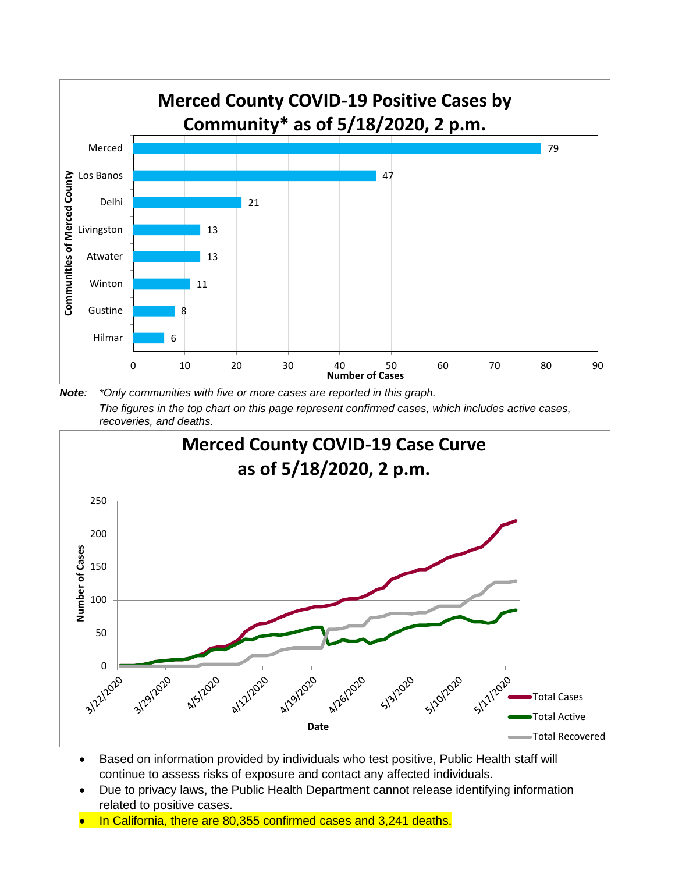

*Note: \*Only communities with five or more cases are reported in this graph. The figures in the top chart on this page represent confirmed cases, which includes active cases, recoveries, and deaths.*



- Based on information provided by individuals who test positive, Public Health staff will continue to assess risks of exposure and contact any affected individuals.
- Due to privacy laws, the Public Health Department cannot release identifying information related to positive cases.
- In California, there are 80,355 confirmed cases and 3,241 deaths.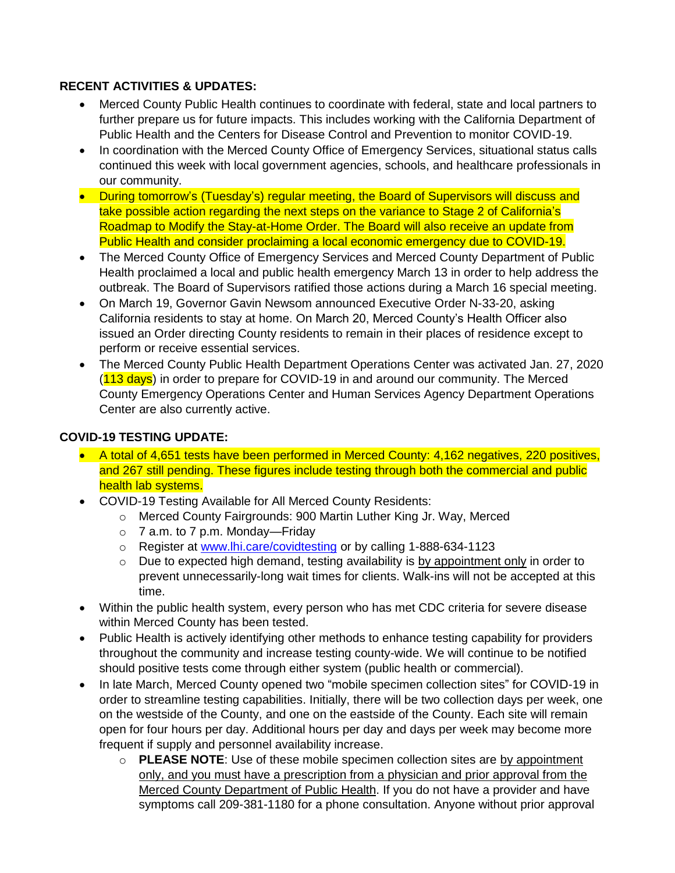#### **RECENT ACTIVITIES & UPDATES:**

- Merced County Public Health continues to coordinate with federal, state and local partners to further prepare us for future impacts. This includes working with the California Department of Public Health and the Centers for Disease Control and Prevention to monitor COVID-19.
- In coordination with the Merced County Office of Emergency Services, situational status calls continued this week with local government agencies, schools, and healthcare professionals in our community.
- During tomorrow's (Tuesday's) regular meeting, the Board of Supervisors will discuss and take possible action regarding the next steps on the variance to Stage 2 of California's Roadmap to Modify the Stay-at-Home Order. The Board will also receive an update from Public Health and consider proclaiming a local economic emergency due to COVID-19.
- The Merced County Office of Emergency Services and Merced County Department of Public Health proclaimed a local and public health emergency March 13 in order to help address the outbreak. The Board of Supervisors ratified those actions during a March 16 special meeting.
- On March 19, Governor Gavin Newsom announced Executive Order N-33-20, asking California residents to stay at home. On March 20, Merced County's Health Officer also issued an Order directing County residents to remain in their places of residence except to perform or receive essential services.
- The Merced County Public Health Department Operations Center was activated Jan. 27, 2020 (113 days) in order to prepare for COVID-19 in and around our community. The Merced County Emergency Operations Center and Human Services Agency Department Operations Center are also currently active.

### **COVID-19 TESTING UPDATE:**

- A total of 4,651 tests have been performed in Merced County: 4,162 negatives, 220 positives, and 267 still pending. These figures include testing through both the commercial and public health lab systems.
- COVID-19 Testing Available for All Merced County Residents:
	- o Merced County Fairgrounds: 900 Martin Luther King Jr. Way, Merced
	- $\circ$  7 a.m. to 7 p.m. Monday—Friday
	- o Register at [www.lhi.care/covidtesting](http://www.lhi.care/covidtesting) or by calling 1-888-634-1123
	- o Due to expected high demand, testing availability is by appointment only in order to prevent unnecessarily-long wait times for clients. Walk-ins will not be accepted at this time.
- Within the public health system, every person who has met CDC criteria for severe disease within Merced County has been tested.
- Public Health is actively identifying other methods to enhance testing capability for providers throughout the community and increase testing county-wide. We will continue to be notified should positive tests come through either system (public health or commercial).
- In late March, Merced County opened two "mobile specimen collection sites" for COVID-19 in order to streamline testing capabilities. Initially, there will be two collection days per week, one on the westside of the County, and one on the eastside of the County. Each site will remain open for four hours per day. Additional hours per day and days per week may become more frequent if supply and personnel availability increase.
	- o **PLEASE NOTE**: Use of these mobile specimen collection sites are by appointment only, and you must have a prescription from a physician and prior approval from the Merced County Department of Public Health. If you do not have a provider and have symptoms call 209-381-1180 for a phone consultation. Anyone without prior approval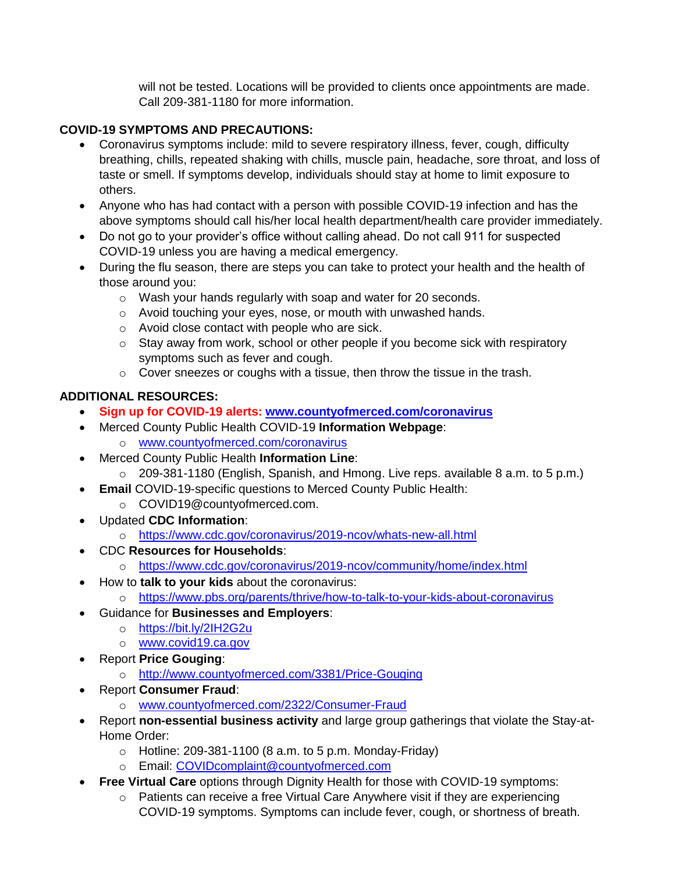will not be tested. Locations will be provided to clients once appointments are made. Call 209-381-1180 for more information.

## **COVID-19 SYMPTOMS AND PRECAUTIONS:**

- Coronavirus symptoms include: mild to severe respiratory illness, fever, cough, difficulty breathing, chills, repeated shaking with chills, muscle pain, headache, sore throat, and loss of taste or smell. If symptoms develop, individuals should stay at home to limit exposure to others.
- Anyone who has had contact with a person with possible COVID-19 infection and has the above symptoms should call his/her local health department/health care provider immediately.
- Do not go to your provider's office without calling ahead. Do not call 911 for suspected COVID-19 unless you are having a medical emergency.
- During the flu season, there are steps you can take to protect your health and the health of those around you:
	- o Wash your hands regularly with soap and water for 20 seconds.
	- o Avoid touching your eyes, nose, or mouth with unwashed hands.
	- o Avoid close contact with people who are sick.
	- o Stay away from work, school or other people if you become sick with respiratory symptoms such as fever and cough.
	- o Cover sneezes or coughs with a tissue, then throw the tissue in the trash.

# **ADDITIONAL RESOURCES:**

- **Sign up for COVID-19 alerts: [www.countyofmerced.com/coronavirus](http://www.countyofmerced.com/coronavirus)**
- Merced County Public Health COVID-19 **Information Webpage**: o [www.countyofmerced.com/coronavirus](http://www.countyofmerced.com/coronavirus)
- Merced County Public Health **Information Line**:
	- o 209-381-1180 (English, Spanish, and Hmong. Live reps. available 8 a.m. to 5 p.m.)
- **Email** COVID-19-specific questions to Merced County Public Health:
	- o COVID19@countyofmerced.com.
- Updated **CDC Information**:
	- o <https://www.cdc.gov/coronavirus/2019-ncov/whats-new-all.html>
- CDC **Resources for Households**:
	- o <https://www.cdc.gov/coronavirus/2019-ncov/community/home/index.html>
- How to **talk to your kids** about the coronavirus:
	- o <https://www.pbs.org/parents/thrive/how-to-talk-to-your-kids-about-coronavirus>
- Guidance for **Businesses and Employers**:
	- o <https://bit.ly/2IH2G2u>
	- o [www.covid19.ca.gov](http://www.covid19.ca.gov/)
- Report **Price Gouging**:
	- o <http://www.countyofmerced.com/3381/Price-Gouging>
- Report **Consumer Fraud**:
	- o [www.countyofmerced.com/2322/Consumer-Fraud](http://www.countyofmerced.com/2322/Consumer-Fraud)
- Report **non-essential business activity** and large group gatherings that violate the Stay-at-Home Order:
	- $\circ$  Hotline: 209-381-1100 (8 a.m. to 5 p.m. Monday-Friday)
	- o Email: [COVIDcomplaint@countyofmerced.com](mailto:COVIDcomplaint@countyofmerced.com)
- **Free Virtual Care** options through Dignity Health for those with COVID-19 symptoms:
	- o Patients can receive a free Virtual Care Anywhere visit if they are experiencing COVID-19 symptoms. Symptoms can include fever, cough, or shortness of breath.